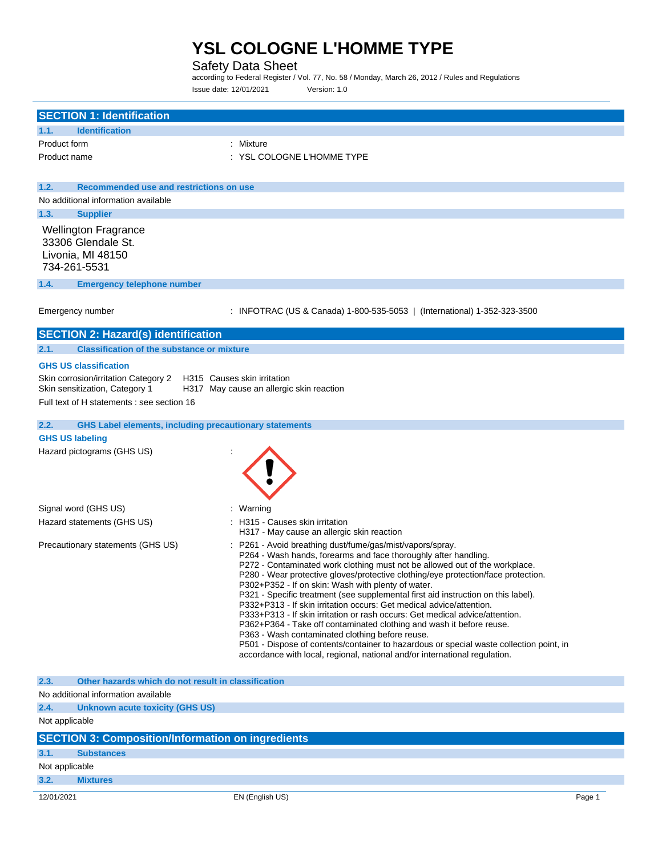# Safety Data Sheet

according to Federal Register / Vol. 77, No. 58 / Monday, March 26, 2012 / Rules and Regulations Issue date: 12/01/2021 Version: 1.0

| <b>SECTION 1: Identification</b>                                      |                                                                                                                                                                       |        |
|-----------------------------------------------------------------------|-----------------------------------------------------------------------------------------------------------------------------------------------------------------------|--------|
| <b>Identification</b><br>1.1.                                         |                                                                                                                                                                       |        |
| Product form                                                          | : Mixture                                                                                                                                                             |        |
| Product name                                                          | : YSL COLOGNE L'HOMME TYPE                                                                                                                                            |        |
|                                                                       |                                                                                                                                                                       |        |
| 1.2.<br>Recommended use and restrictions on use                       |                                                                                                                                                                       |        |
| No additional information available                                   |                                                                                                                                                                       |        |
| 1.3.<br><b>Supplier</b>                                               |                                                                                                                                                                       |        |
| <b>Wellington Fragrance</b>                                           |                                                                                                                                                                       |        |
| 33306 Glendale St.                                                    |                                                                                                                                                                       |        |
| Livonia, MI 48150<br>734-261-5531                                     |                                                                                                                                                                       |        |
|                                                                       |                                                                                                                                                                       |        |
| 1.4.<br><b>Emergency telephone number</b>                             |                                                                                                                                                                       |        |
|                                                                       |                                                                                                                                                                       |        |
| Emergency number                                                      | : INFOTRAC (US & Canada) 1-800-535-5053   (International) 1-352-323-3500                                                                                              |        |
| <b>SECTION 2: Hazard(s) identification</b>                            |                                                                                                                                                                       |        |
| <b>Classification of the substance or mixture</b><br>2.1.             |                                                                                                                                                                       |        |
| <b>GHS US classification</b>                                          |                                                                                                                                                                       |        |
| Skin corrosion/irritation Category 2                                  | H315 Causes skin irritation                                                                                                                                           |        |
| Skin sensitization, Category 1                                        | H317 May cause an allergic skin reaction                                                                                                                              |        |
| Full text of H statements : see section 16                            |                                                                                                                                                                       |        |
| 2.2.<br><b>GHS Label elements, including precautionary statements</b> |                                                                                                                                                                       |        |
| <b>GHS US labeling</b>                                                |                                                                                                                                                                       |        |
| Hazard pictograms (GHS US)                                            |                                                                                                                                                                       |        |
|                                                                       |                                                                                                                                                                       |        |
|                                                                       |                                                                                                                                                                       |        |
|                                                                       |                                                                                                                                                                       |        |
|                                                                       |                                                                                                                                                                       |        |
| Signal word (GHS US)<br>Hazard statements (GHS US)                    | Warning<br>: H315 - Causes skin irritation                                                                                                                            |        |
|                                                                       | H317 - May cause an allergic skin reaction                                                                                                                            |        |
| Precautionary statements (GHS US)                                     | : P261 - Avoid breathing dust/fume/gas/mist/vapors/spray.                                                                                                             |        |
|                                                                       | P264 - Wash hands, forearms and face thoroughly after handling.                                                                                                       |        |
|                                                                       | P272 - Contaminated work clothing must not be allowed out of the workplace.<br>P280 - Wear protective gloves/protective clothing/eye protection/face protection.      |        |
|                                                                       | P302+P352 - If on skin: Wash with plenty of water.                                                                                                                    |        |
|                                                                       | P321 - Specific treatment (see supplemental first aid instruction on this label).                                                                                     |        |
|                                                                       | P332+P313 - If skin irritation occurs: Get medical advice/attention.<br>P333+P313 - If skin irritation or rash occurs: Get medical advice/attention.                  |        |
|                                                                       | P362+P364 - Take off contaminated clothing and wash it before reuse.                                                                                                  |        |
|                                                                       | P363 - Wash contaminated clothing before reuse.                                                                                                                       |        |
|                                                                       | P501 - Dispose of contents/container to hazardous or special waste collection point, in<br>accordance with local, regional, national and/or international regulation. |        |
|                                                                       |                                                                                                                                                                       |        |
| 2.3.<br>Other hazards which do not result in classification           |                                                                                                                                                                       |        |
| No additional information available                                   |                                                                                                                                                                       |        |
| 2.4.<br><b>Unknown acute toxicity (GHS US)</b>                        |                                                                                                                                                                       |        |
| Not applicable                                                        |                                                                                                                                                                       |        |
| <b>SECTION 3: Composition/Information on ingredients</b>              |                                                                                                                                                                       |        |
| 3.1.<br><b>Substances</b>                                             |                                                                                                                                                                       |        |
| Not applicable                                                        |                                                                                                                                                                       |        |
| 3.2.<br><b>Mixtures</b>                                               |                                                                                                                                                                       |        |
| 12/01/2021                                                            | EN (English US)                                                                                                                                                       | Page 1 |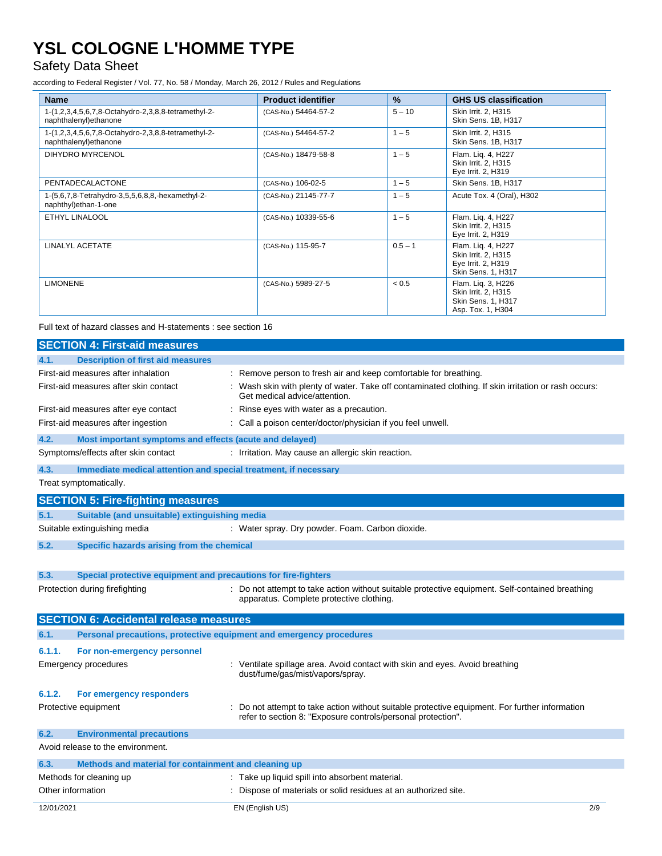# Safety Data Sheet

according to Federal Register / Vol. 77, No. 58 / Monday, March 26, 2012 / Rules and Regulations

| <b>Name</b>                                                                   | <b>Product identifier</b> | $\%$      | <b>GHS US classification</b>                                                          |
|-------------------------------------------------------------------------------|---------------------------|-----------|---------------------------------------------------------------------------------------|
| 1-(1,2,3,4,5,6,7,8-Octahydro-2,3,8,8-tetramethyl-2-<br>naphthalenyl) ethanone | (CAS-No.) 54464-57-2      | $5 - 10$  | Skin Irrit. 2, H315<br>Skin Sens. 1B, H317                                            |
| 1-(1,2,3,4,5,6,7,8-Octahydro-2,3,8,8-tetramethyl-2-<br>naphthalenyl) ethanone | (CAS-No.) 54464-57-2      | $1 - 5$   | Skin Irrit. 2, H315<br>Skin Sens. 1B, H317                                            |
| DIHYDRO MYRCENOL                                                              | (CAS-No.) 18479-58-8      | $1 - 5$   | Flam. Lig. 4, H227<br>Skin Irrit. 2, H315<br>Eye Irrit. 2, H319                       |
| PENTADECALACTONE                                                              | (CAS-No.) 106-02-5        | $1 - 5$   | Skin Sens. 1B, H317                                                                   |
| 1-(5,6,7,8-Tetrahydro-3,5,5,6,8,8,-hexamethyl-2-<br>naphthyl)ethan-1-one      | (CAS-No.) 21145-77-7      | $1 - 5$   | Acute Tox. 4 (Oral), H302                                                             |
| ETHYL LINALOOL                                                                | (CAS-No.) 10339-55-6      | $1 - 5$   | Flam. Lig. 4, H227<br>Skin Irrit. 2, H315<br>Eye Irrit. 2, H319                       |
| <b>LINALYL ACETATE</b>                                                        | (CAS-No.) 115-95-7        | $0.5 - 1$ | Flam. Liq. 4, H227<br>Skin Irrit. 2, H315<br>Eye Irrit. 2, H319<br>Skin Sens. 1, H317 |
| <b>LIMONENE</b>                                                               | (CAS-No.) 5989-27-5       | < 0.5     | Flam. Lig. 3, H226<br>Skin Irrit. 2, H315<br>Skin Sens. 1, H317<br>Asp. Tox. 1, H304  |

Full text of hazard classes and H-statements : see section 16

| <b>SECTION 4: First-aid measures</b>                            |                                                                                                                                                              |
|-----------------------------------------------------------------|--------------------------------------------------------------------------------------------------------------------------------------------------------------|
| <b>Description of first aid measures</b><br>4.1                 |                                                                                                                                                              |
| First-aid measures after inhalation                             | : Remove person to fresh air and keep comfortable for breathing.                                                                                             |
| First-aid measures after skin contact                           | : Wash skin with plenty of water. Take off contaminated clothing. If skin irritation or rash occurs:<br>Get medical advice/attention.                        |
| First-aid measures after eye contact                            | : Rinse eyes with water as a precaution.                                                                                                                     |
| First-aid measures after ingestion                              | : Call a poison center/doctor/physician if you feel unwell.                                                                                                  |
| 4.2.<br>Most important symptoms and effects (acute and delayed) |                                                                                                                                                              |
| Symptoms/effects after skin contact                             | : Irritation. May cause an allergic skin reaction.                                                                                                           |
| 4.3.                                                            | Immediate medical attention and special treatment, if necessary                                                                                              |
| Treat symptomatically.                                          |                                                                                                                                                              |
| <b>SECTION 5: Fire-fighting measures</b>                        |                                                                                                                                                              |
| Suitable (and unsuitable) extinguishing media<br>5.1.           |                                                                                                                                                              |
| Suitable extinguishing media                                    | : Water spray. Dry powder. Foam. Carbon dioxide.                                                                                                             |
| 5.2.<br>Specific hazards arising from the chemical              |                                                                                                                                                              |
|                                                                 |                                                                                                                                                              |
| 5.3.                                                            | Special protective equipment and precautions for fire-fighters                                                                                               |
| Protection during firefighting                                  | Do not attempt to take action without suitable protective equipment. Self-contained breathing<br>apparatus. Complete protective clothing.                    |
| <b>SECTION 6: Accidental release measures</b>                   |                                                                                                                                                              |
| 6.1.                                                            | Personal precautions, protective equipment and emergency procedures                                                                                          |
| 6.1.1.<br>For non-emergency personnel                           |                                                                                                                                                              |
| <b>Emergency procedures</b>                                     | : Ventilate spillage area. Avoid contact with skin and eyes. Avoid breathing<br>dust/fume/gas/mist/vapors/spray.                                             |
| 6.1.2.<br>For emergency responders                              |                                                                                                                                                              |
| Protective equipment                                            | Do not attempt to take action without suitable protective equipment. For further information<br>refer to section 8: "Exposure controls/personal protection". |
| 6.2.<br><b>Environmental precautions</b>                        |                                                                                                                                                              |
| Avoid release to the environment.                               |                                                                                                                                                              |
| Methods and material for containment and cleaning up<br>6.3.    |                                                                                                                                                              |
| Methods for cleaning up                                         | : Take up liquid spill into absorbent material.                                                                                                              |
| Other information                                               | Dispose of materials or solid residues at an authorized site.                                                                                                |
| 12/01/2021                                                      | EN (English US)<br>2/9                                                                                                                                       |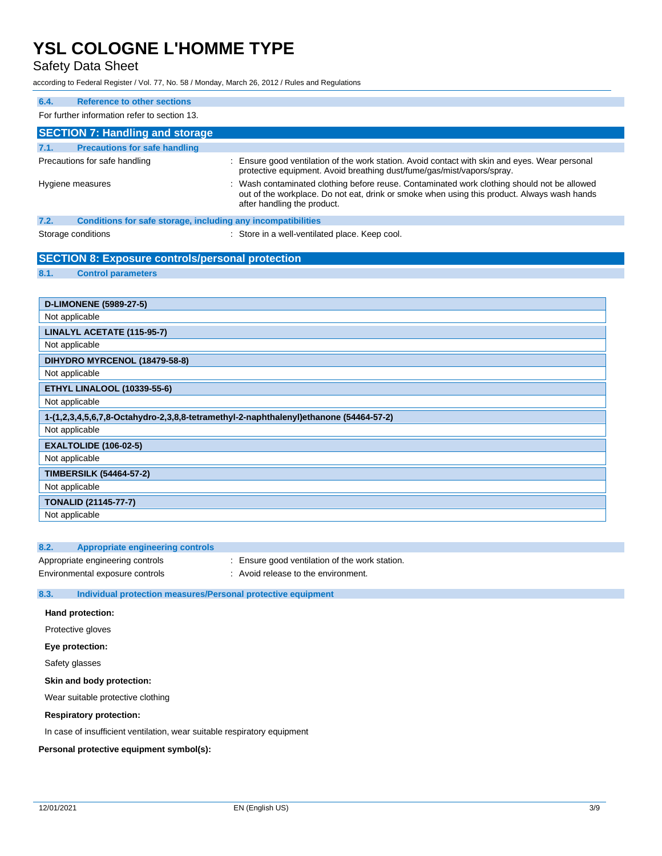Safety Data Sheet

according to Federal Register / Vol. 77, No. 58 / Monday, March 26, 2012 / Rules and Regulations

| 6.4. | <b>Reference to other sections</b>                           |                                                                                                                                                                                                                           |  |  |
|------|--------------------------------------------------------------|---------------------------------------------------------------------------------------------------------------------------------------------------------------------------------------------------------------------------|--|--|
|      | For further information refer to section 13.                 |                                                                                                                                                                                                                           |  |  |
|      | <b>SECTION 7: Handling and storage</b>                       |                                                                                                                                                                                                                           |  |  |
| 7.1. | <b>Precautions for safe handling</b>                         |                                                                                                                                                                                                                           |  |  |
|      | Precautions for safe handling                                | : Ensure good ventilation of the work station. Avoid contact with skin and eyes. Wear personal<br>protective equipment. Avoid breathing dust/fume/gas/mist/vapors/spray.                                                  |  |  |
|      | Hygiene measures                                             | : Wash contaminated clothing before reuse. Contaminated work clothing should not be allowed<br>out of the workplace. Do not eat, drink or smoke when using this product. Always wash hands<br>after handling the product. |  |  |
| 7.2. | Conditions for safe storage, including any incompatibilities |                                                                                                                                                                                                                           |  |  |
|      | Storage conditions                                           | : Store in a well-ventilated place. Keep cool.                                                                                                                                                                            |  |  |

|      | <b>SECTION 8: Exposure controls/personal protection</b> |
|------|---------------------------------------------------------|
| 8.1. | <b>Control parameters</b>                               |

| <b>D-LIMONENE (5989-27-5)</b>                                                         |
|---------------------------------------------------------------------------------------|
| Not applicable                                                                        |
| LINALYL ACETATE (115-95-7)                                                            |
| Not applicable                                                                        |
| DIHYDRO MYRCENOL (18479-58-8)                                                         |
| Not applicable                                                                        |
| <b>ETHYL LINALOOL (10339-55-6)</b>                                                    |
| Not applicable                                                                        |
| 1-(1,2,3,4,5,6,7,8-Octahydro-2,3,8,8-tetramethyl-2-naphthalenyl)ethanone (54464-57-2) |
| Not applicable                                                                        |
| <b>EXALTOLIDE (106-02-5)</b>                                                          |
| Not applicable                                                                        |
| <b>TIMBERSILK (54464-57-2)</b>                                                        |
| Not applicable                                                                        |
| <b>TONALID (21145-77-7)</b>                                                           |
| Not applicable                                                                        |

## **8.2. Appropriate engineering controls**

Appropriate engineering controls : Ensure good ventilation of the work station.

Environmental exposure controls : Avoid release to the environment.

### **8.3. Individual protection measures/Personal protective equipment**

## **Hand protection:**

Protective gloves

#### **Eye protection:**

Safety glasses

### **Skin and body protection:**

Wear suitable protective clothing

### **Respiratory protection:**

In case of insufficient ventilation, wear suitable respiratory equipment

### **Personal protective equipment symbol(s):**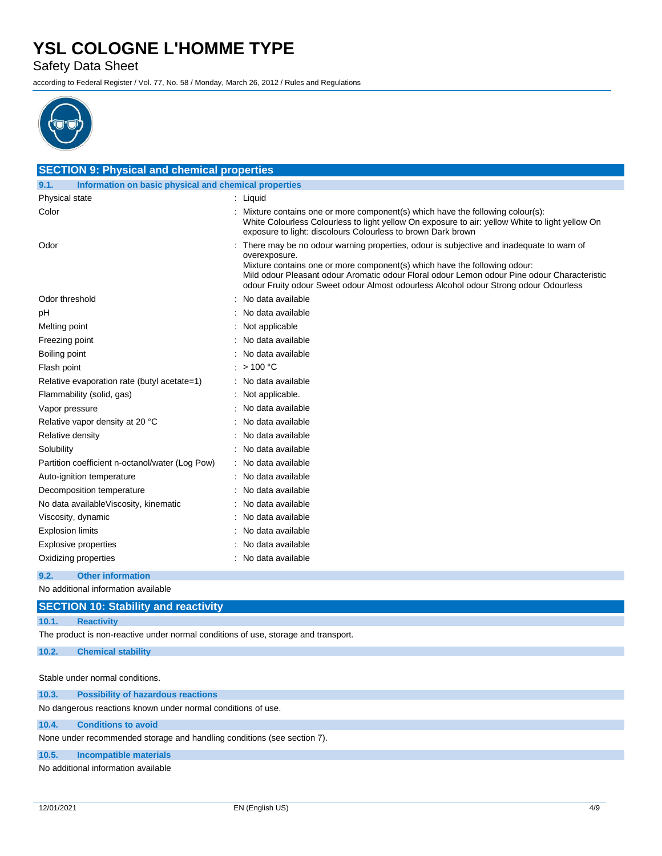Safety Data Sheet

according to Federal Register / Vol. 77, No. 58 / Monday, March 26, 2012 / Rules and Regulations



| <b>SECTION 9: Physical and chemical properties</b>            |                                                                                                                                                                                                                                                                                                                                                                              |  |  |
|---------------------------------------------------------------|------------------------------------------------------------------------------------------------------------------------------------------------------------------------------------------------------------------------------------------------------------------------------------------------------------------------------------------------------------------------------|--|--|
| Information on basic physical and chemical properties<br>9.1. |                                                                                                                                                                                                                                                                                                                                                                              |  |  |
| Physical state                                                | : Liquid                                                                                                                                                                                                                                                                                                                                                                     |  |  |
| Color                                                         | Mixture contains one or more component(s) which have the following colour(s):<br>White Colourless Colourless to light yellow On exposure to air: yellow White to light yellow On<br>exposure to light: discolours Colourless to brown Dark brown                                                                                                                             |  |  |
| Odor                                                          | There may be no odour warning properties, odour is subjective and inadequate to warn of<br>overexposure.<br>Mixture contains one or more component(s) which have the following odour:<br>Mild odour Pleasant odour Aromatic odour Floral odour Lemon odour Pine odour Characteristic<br>odour Fruity odour Sweet odour Almost odourless Alcohol odour Strong odour Odourless |  |  |
| Odor threshold                                                | No data available                                                                                                                                                                                                                                                                                                                                                            |  |  |
| рH                                                            | No data available                                                                                                                                                                                                                                                                                                                                                            |  |  |
| Melting point                                                 | Not applicable                                                                                                                                                                                                                                                                                                                                                               |  |  |
| Freezing point                                                | No data available                                                                                                                                                                                                                                                                                                                                                            |  |  |
| Boiling point                                                 | No data available                                                                                                                                                                                                                                                                                                                                                            |  |  |
| Flash point                                                   | : $> 100 °C$                                                                                                                                                                                                                                                                                                                                                                 |  |  |
| Relative evaporation rate (butyl acetate=1)                   | No data available                                                                                                                                                                                                                                                                                                                                                            |  |  |
| Flammability (solid, gas)                                     | Not applicable.                                                                                                                                                                                                                                                                                                                                                              |  |  |
| Vapor pressure                                                | No data available                                                                                                                                                                                                                                                                                                                                                            |  |  |
| Relative vapor density at 20 °C                               | No data available                                                                                                                                                                                                                                                                                                                                                            |  |  |
| Relative density                                              | No data available                                                                                                                                                                                                                                                                                                                                                            |  |  |
| Solubility                                                    | No data available                                                                                                                                                                                                                                                                                                                                                            |  |  |
| Partition coefficient n-octanol/water (Log Pow)               | No data available                                                                                                                                                                                                                                                                                                                                                            |  |  |
| Auto-ignition temperature                                     | No data available                                                                                                                                                                                                                                                                                                                                                            |  |  |
| Decomposition temperature                                     | No data available                                                                                                                                                                                                                                                                                                                                                            |  |  |
| No data available Viscosity, kinematic                        | No data available                                                                                                                                                                                                                                                                                                                                                            |  |  |
| Viscosity, dynamic                                            | No data available                                                                                                                                                                                                                                                                                                                                                            |  |  |
| <b>Explosion limits</b>                                       | No data available                                                                                                                                                                                                                                                                                                                                                            |  |  |
| Explosive properties                                          | No data available                                                                                                                                                                                                                                                                                                                                                            |  |  |
| Oxidizing properties                                          | No data available                                                                                                                                                                                                                                                                                                                                                            |  |  |
| 9.2.<br><b>Other information</b>                              |                                                                                                                                                                                                                                                                                                                                                                              |  |  |

No additional information available

### **10.1. Reactivity**

The product is non-reactive under normal conditions of use, storage and transport.

**10.2. Chemical stability**

Stable under normal conditions.

| 10.3. | <b>Possibility of hazardous reactions</b>                               |
|-------|-------------------------------------------------------------------------|
|       | No dangerous reactions known under normal conditions of use.            |
| 10.4. | <b>Conditions to avoid</b>                                              |
|       | None under recommended storage and handling conditions (see section 7). |

**10.5. Incompatible materials**

No additional information available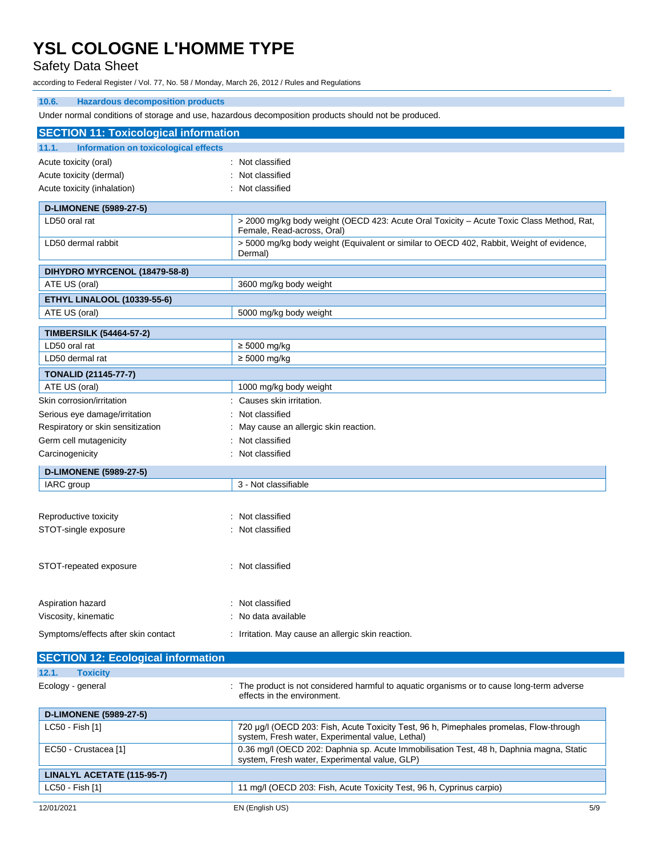# Safety Data Sheet

according to Federal Register / Vol. 77, No. 58 / Monday, March 26, 2012 / Rules and Regulations

| 10.6.<br><b>Hazardous decomposition products</b>                                                     |                                                                                                                         |  |
|------------------------------------------------------------------------------------------------------|-------------------------------------------------------------------------------------------------------------------------|--|
| Under normal conditions of storage and use, hazardous decomposition products should not be produced. |                                                                                                                         |  |
| <b>SECTION 11: Toxicological information</b>                                                         |                                                                                                                         |  |
| 11.1.<br>Information on toxicological effects                                                        |                                                                                                                         |  |
| Acute toxicity (oral)                                                                                | : Not classified                                                                                                        |  |
| Acute toxicity (dermal)                                                                              | Not classified                                                                                                          |  |
| Acute toxicity (inhalation)                                                                          | : Not classified                                                                                                        |  |
|                                                                                                      |                                                                                                                         |  |
| <b>D-LIMONENE (5989-27-5)</b>                                                                        |                                                                                                                         |  |
| LD50 oral rat                                                                                        | > 2000 mg/kg body weight (OECD 423: Acute Oral Toxicity - Acute Toxic Class Method, Rat,<br>Female, Read-across, Oral)  |  |
| LD50 dermal rabbit                                                                                   | > 5000 mg/kg body weight (Equivalent or similar to OECD 402, Rabbit, Weight of evidence,<br>Dermal)                     |  |
| DIHYDRO MYRCENOL (18479-58-8)                                                                        |                                                                                                                         |  |
| ATE US (oral)                                                                                        | 3600 mg/kg body weight                                                                                                  |  |
| <b>ETHYL LINALOOL (10339-55-6)</b>                                                                   |                                                                                                                         |  |
| ATE US (oral)                                                                                        | 5000 mg/kg body weight                                                                                                  |  |
|                                                                                                      |                                                                                                                         |  |
| <b>TIMBERSILK (54464-57-2)</b>                                                                       |                                                                                                                         |  |
| LD50 oral rat<br>LD50 dermal rat                                                                     | $\geq 5000$ mg/kg<br>$\geq 5000$ mg/kg                                                                                  |  |
|                                                                                                      |                                                                                                                         |  |
| <b>TONALID (21145-77-7)</b>                                                                          |                                                                                                                         |  |
| ATE US (oral)                                                                                        | 1000 mg/kg body weight                                                                                                  |  |
| Skin corrosion/irritation                                                                            | Causes skin irritation.                                                                                                 |  |
| Serious eye damage/irritation                                                                        | Not classified                                                                                                          |  |
| Respiratory or skin sensitization                                                                    | May cause an allergic skin reaction.                                                                                    |  |
| Germ cell mutagenicity                                                                               | Not classified                                                                                                          |  |
| Carcinogenicity                                                                                      | Not classified                                                                                                          |  |
| <b>D-LIMONENE (5989-27-5)</b>                                                                        |                                                                                                                         |  |
| IARC group                                                                                           | 3 - Not classifiable                                                                                                    |  |
|                                                                                                      |                                                                                                                         |  |
| Reproductive toxicity                                                                                | : Not classified                                                                                                        |  |
| STOT-single exposure                                                                                 | : Not classified                                                                                                        |  |
|                                                                                                      |                                                                                                                         |  |
| STOT-repeated exposure                                                                               |                                                                                                                         |  |
|                                                                                                      | : Not classified                                                                                                        |  |
| Aspiration hazard                                                                                    | Not classified                                                                                                          |  |
| Viscosity, kinematic                                                                                 | No data available                                                                                                       |  |
|                                                                                                      |                                                                                                                         |  |
| Symptoms/effects after skin contact                                                                  | : Irritation. May cause an allergic skin reaction.                                                                      |  |
| <b>SECTION 12: Ecological information</b>                                                            |                                                                                                                         |  |
| 12.1.<br><b>Toxicity</b>                                                                             |                                                                                                                         |  |
| Ecology - general                                                                                    | The product is not considered harmful to aquatic organisms or to cause long-term adverse<br>effects in the environment. |  |
| <b>D-LIMONENE (5989-27-5)</b>                                                                        |                                                                                                                         |  |
| LC50 - Fish [1]                                                                                      | 720 µg/l (OECD 203: Fish, Acute Toxicity Test, 96 h, Pimephales promelas, Flow-through                                  |  |
|                                                                                                      | system. Fresh water. Experimental value. Lethal)                                                                        |  |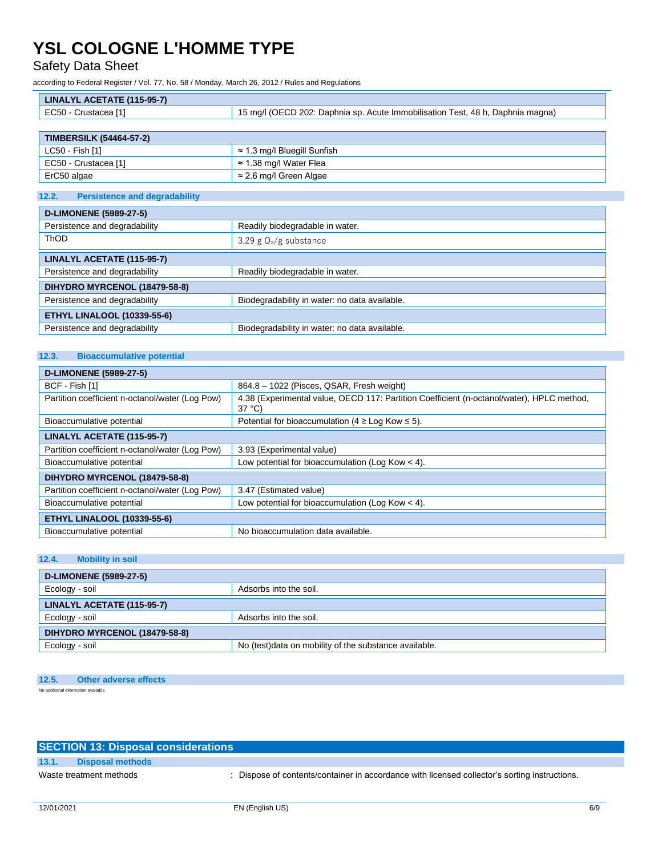Safety Data Sheet

according to Federal Register / Vol. 77, No. 58 / Monday, March 26, 2012 / Rules and Regulations

| LINALYL ACETATE (115-95-7) |                                                                                |
|----------------------------|--------------------------------------------------------------------------------|
| EC50 - Crustacea [1]       | 15 mg/l (OECD 202: Daphnia sp. Acute Immobilisation Test, 48 h, Daphnia magna) |
|                            |                                                                                |

| <b>TIMBERSILK (54464-57-2)</b> |                                     |  |
|--------------------------------|-------------------------------------|--|
| LC50 - Fish [1]                | $\approx$ 1.3 mg/l Bluegill Sunfish |  |
| EC50 - Crustacea [1]           | $\approx$ 1.38 mg/l Water Flea      |  |
| ErC50 algae                    | ≈ 2.6 mg/l Green Algae              |  |

## **12.2. Persistence and degradability**

| <b>D-LIMONENE (5989-27-5)</b>      |                                               |
|------------------------------------|-----------------------------------------------|
| Persistence and degradability      | Readily biodegradable in water.               |
| ThOD                               | 3.29 g $O_2/g$ substance                      |
| LINALYL ACETATE (115-95-7)         |                                               |
| Persistence and degradability      | Readily biodegradable in water.               |
| DIHYDRO MYRCENOL (18479-58-8)      |                                               |
| Persistence and degradability      | Biodegradability in water: no data available. |
| <b>ETHYL LINALOOL (10339-55-6)</b> |                                               |
| Persistence and degradability      | Biodegradability in water: no data available. |

# **12.3. Bioaccumulative potential**

| <b>D-LIMONENE (5989-27-5)</b>                   |                                                                                                              |  |
|-------------------------------------------------|--------------------------------------------------------------------------------------------------------------|--|
| BCF - Fish [1]                                  | 864.8 - 1022 (Pisces, QSAR, Fresh weight)                                                                    |  |
| Partition coefficient n-octanol/water (Log Pow) | 4.38 (Experimental value, OECD 117: Partition Coefficient (n-octanol/water), HPLC method,<br>$37^{\circ}$ C) |  |
| Bioaccumulative potential                       | Potential for bioaccumulation ( $4 \geq$ Log Kow $\leq$ 5).                                                  |  |
| LINALYL ACETATE (115-95-7)                      |                                                                                                              |  |
| Partition coefficient n-octanol/water (Log Pow) | 3.93 (Experimental value)                                                                                    |  |
| Bioaccumulative potential                       | Low potential for bioaccumulation (Log Kow $<$ 4).                                                           |  |
| DIHYDRO MYRCENOL (18479-58-8)                   |                                                                                                              |  |
| Partition coefficient n-octanol/water (Log Pow) | 3.47 (Estimated value)                                                                                       |  |
| Bioaccumulative potential                       | Low potential for bioaccumulation (Log Kow $<$ 4).                                                           |  |
| <b>ETHYL LINALOOL (10339-55-6)</b>              |                                                                                                              |  |
| Bioaccumulative potential                       | No bioaccumulation data available.                                                                           |  |

### **12.4. Mobility in soil**

| <b>D-LIMONENE (5989-27-5)</b> |                                                       |
|-------------------------------|-------------------------------------------------------|
| Ecology - soil                | Adsorbs into the soil.                                |
| LINALYL ACETATE (115-95-7)    |                                                       |
| Ecology - soil                | Adsorbs into the soil.                                |
| DIHYDRO MYRCENOL (18479-58-8) |                                                       |
| Ecology - soil                | No (test)data on mobility of the substance available. |

## **12.5. Other adverse effects**

No additional information available

# **SECTION 13: Disposal considerations 13.1. Disposal methods**

Waste treatment methods : Dispose of contents/container in accordance with licensed collector's sorting instructions.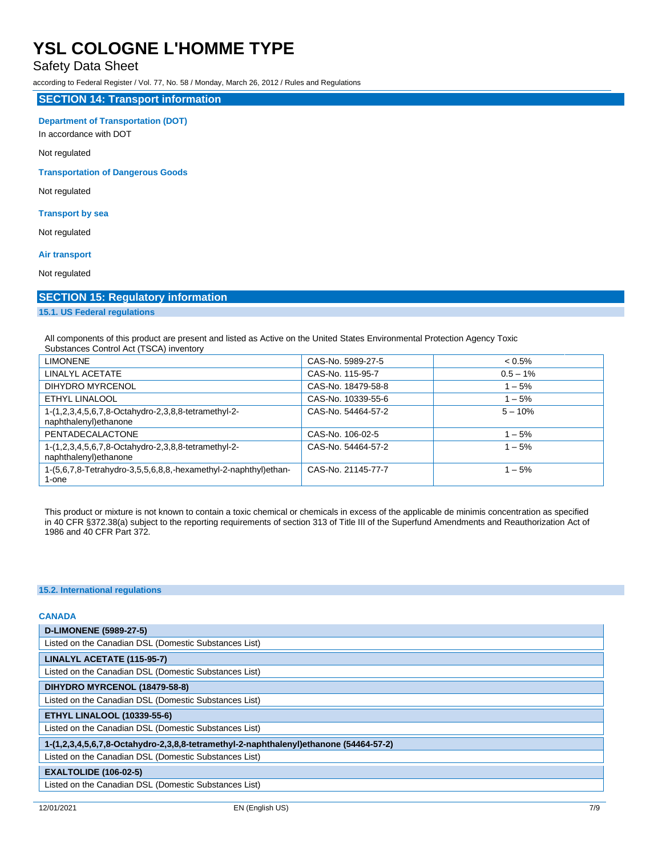# Safety Data Sheet

according to Federal Register / Vol. 77, No. 58 / Monday, March 26, 2012 / Rules and Regulations

#### **SECTION 14: Transport information**

#### **Department of Transportation (DOT)**

In accordance with DOT

Not regulated

### **Transportation of Dangerous Goods**

Not regulated

## **Transport by sea**

Not regulated

### **Air transport**

Not regulated

# **SECTION 15: Regulatory information**

# **15.1. US Federal regulations**

All components of this product are present and listed as Active on the United States Environmental Protection Agency Toxic Substances Control Act (TSCA) inventory

| <b>LIMONENE</b>                                                               | CAS-No. 5989-27-5  | $< 0.5\%$   |
|-------------------------------------------------------------------------------|--------------------|-------------|
| LINALYL ACETATE                                                               | CAS-No. 115-95-7   | $0.5 - 1\%$ |
| DIHYDRO MYRCENOL                                                              | CAS-No. 18479-58-8 | $1 - 5%$    |
| <b>ETHYL LINALOOL</b>                                                         | CAS-No. 10339-55-6 | $1 - 5%$    |
| 1-(1,2,3,4,5,6,7,8-Octahydro-2,3,8,8-tetramethyl-2-<br>naphthalenyl) ethanone | CAS-No. 54464-57-2 | $5 - 10%$   |
| PENTADECALACTONE                                                              | CAS-No. 106-02-5   | $1 - 5%$    |
| 1-(1,2,3,4,5,6,7,8-Octahydro-2,3,8,8-tetramethyl-2-<br>naphthalenyl) ethanone | CAS-No. 54464-57-2 | $1 - 5%$    |
| 1-(5,6,7,8-Tetrahydro-3,5,5,6,8,8,-hexamethyl-2-naphthyl)ethan-<br>1-one      | CAS-No. 21145-77-7 | $1 - 5%$    |

This product or mixture is not known to contain a toxic chemical or chemicals in excess of the applicable de minimis concentration as specified in 40 CFR §372.38(a) subject to the reporting requirements of section 313 of Title III of the Superfund Amendments and Reauthorization Act of 1986 and 40 CFR Part 372.

#### **15.2. International regulations**

#### **CANADA**

| <b>D-LIMONENE (5989-27-5)</b>                                                         |  |
|---------------------------------------------------------------------------------------|--|
| Listed on the Canadian DSL (Domestic Substances List)                                 |  |
| LINALYL ACETATE (115-95-7)                                                            |  |
| Listed on the Canadian DSL (Domestic Substances List)                                 |  |
| DIHYDRO MYRCENOL (18479-58-8)                                                         |  |
| Listed on the Canadian DSL (Domestic Substances List)                                 |  |
| <b>ETHYL LINALOOL (10339-55-6)</b>                                                    |  |
| Listed on the Canadian DSL (Domestic Substances List)                                 |  |
| 1-(1,2,3,4,5,6,7,8-Octahydro-2,3,8,8-tetramethyl-2-naphthalenyl)ethanone (54464-57-2) |  |
| Listed on the Canadian DSL (Domestic Substances List)                                 |  |
| <b>EXALTOLIDE (106-02-5)</b>                                                          |  |
| Listed on the Canadian DSL (Domestic Substances List)                                 |  |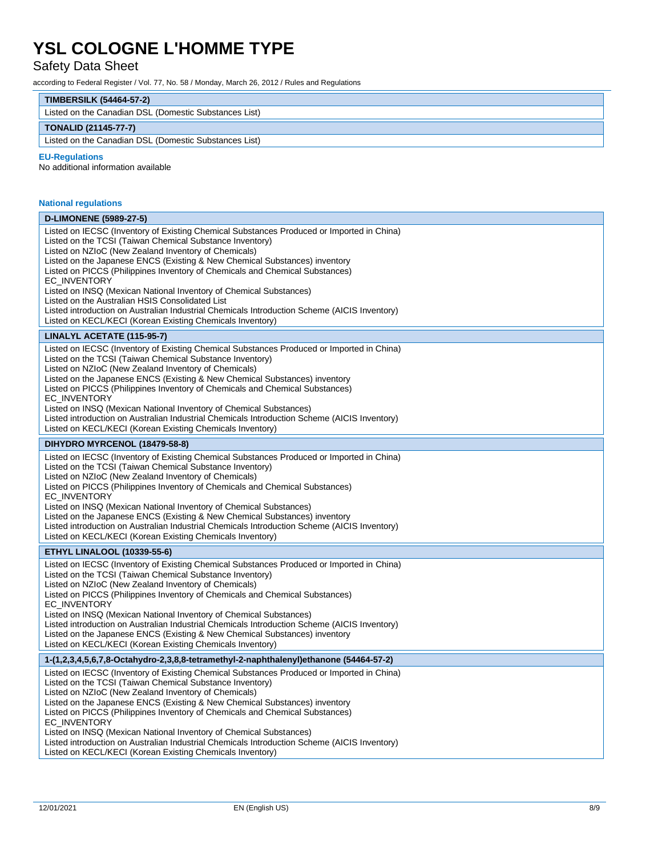# Safety Data Sheet

according to Federal Register / Vol. 77, No. 58 / Monday, March 26, 2012 / Rules and Regulations

| <b>TIMBERSILK (54464-57-2)</b> |  |
|--------------------------------|--|
|                                |  |

| Listed on the Canadian DSL (Domestic Substances List) |
|-------------------------------------------------------|
| <b>TONALID (21145-77-7)</b>                           |
|                                                       |

Listed on the Canadian DSL (Domestic Substances List)

#### **EU -Regulations**

No additional information available

| <b>National regulations</b>                                                                                                                                                                                                                                                                                                                                                                                                                                                                                                                                                                                                                                                       |
|-----------------------------------------------------------------------------------------------------------------------------------------------------------------------------------------------------------------------------------------------------------------------------------------------------------------------------------------------------------------------------------------------------------------------------------------------------------------------------------------------------------------------------------------------------------------------------------------------------------------------------------------------------------------------------------|
| <b>D-LIMONENE (5989-27-5)</b>                                                                                                                                                                                                                                                                                                                                                                                                                                                                                                                                                                                                                                                     |
| Listed on IECSC (Inventory of Existing Chemical Substances Produced or Imported in China)<br>Listed on the TCSI (Taiwan Chemical Substance Inventory)<br>Listed on NZIoC (New Zealand Inventory of Chemicals)<br>Listed on the Japanese ENCS (Existing & New Chemical Substances) inventory<br>Listed on PICCS (Philippines Inventory of Chemicals and Chemical Substances)<br>EC INVENTORY<br>Listed on INSQ (Mexican National Inventory of Chemical Substances)<br>Listed on the Australian HSIS Consolidated List<br>Listed introduction on Australian Industrial Chemicals Introduction Scheme (AICIS Inventory)<br>Listed on KECL/KECI (Korean Existing Chemicals Inventory) |
| LINALYL ACETATE (115-95-7)                                                                                                                                                                                                                                                                                                                                                                                                                                                                                                                                                                                                                                                        |
| Listed on IECSC (Inventory of Existing Chemical Substances Produced or Imported in China)<br>Listed on the TCSI (Taiwan Chemical Substance Inventory)<br>Listed on NZIoC (New Zealand Inventory of Chemicals)<br>Listed on the Japanese ENCS (Existing & New Chemical Substances) inventory<br>Listed on PICCS (Philippines Inventory of Chemicals and Chemical Substances)<br>EC_INVENTORY<br>Listed on INSQ (Mexican National Inventory of Chemical Substances)<br>Listed introduction on Australian Industrial Chemicals Introduction Scheme (AICIS Inventory)<br>Listed on KECL/KECI (Korean Existing Chemicals Inventory)                                                    |
| DIHYDRO MYRCENOL (18479-58-8)                                                                                                                                                                                                                                                                                                                                                                                                                                                                                                                                                                                                                                                     |
| Listed on IECSC (Inventory of Existing Chemical Substances Produced or Imported in China)<br>Listed on the TCSI (Taiwan Chemical Substance Inventory)<br>Listed on NZIoC (New Zealand Inventory of Chemicals)<br>Listed on PICCS (Philippines Inventory of Chemicals and Chemical Substances)<br>EC_INVENTORY<br>Listed on INSQ (Mexican National Inventory of Chemical Substances)<br>Listed on the Japanese ENCS (Existing & New Chemical Substances) inventory<br>Listed introduction on Australian Industrial Chemicals Introduction Scheme (AICIS Inventory)<br>Listed on KECL/KECI (Korean Existing Chemicals Inventory)                                                    |
| <b>ETHYL LINALOOL (10339-55-6)</b>                                                                                                                                                                                                                                                                                                                                                                                                                                                                                                                                                                                                                                                |
| Listed on IECSC (Inventory of Existing Chemical Substances Produced or Imported in China)<br>Listed on the TCSI (Taiwan Chemical Substance Inventory)<br>Listed on NZIoC (New Zealand Inventory of Chemicals)<br>Listed on PICCS (Philippines Inventory of Chemicals and Chemical Substances)<br>EC_INVENTORY<br>Listed on INSQ (Mexican National Inventory of Chemical Substances)<br>Listed introduction on Australian Industrial Chemicals Introduction Scheme (AICIS Inventory)<br>Listed on the Japanese ENCS (Existing & New Chemical Substances) inventory<br>Listed on KECL/KECI (Korean Existing Chemicals Inventory)                                                    |
| 1-(1,2,3,4,5,6,7,8-Octahydro-2,3,8,8-tetramethyl-2-naphthalenyl)ethanone (54464-57-2)                                                                                                                                                                                                                                                                                                                                                                                                                                                                                                                                                                                             |
| Listed on IECSC (Inventory of Existing Chemical Substances Produced or Imported in China)<br>Listed on the TCSI (Taiwan Chemical Substance Inventory)<br>Listed on NZIoC (New Zealand Inventory of Chemicals)<br>Listed on the Japanese ENCS (Existing & New Chemical Substances) inventory<br>Listed on PICCS (Philippines Inventory of Chemicals and Chemical Substances)<br>EC_INVENTORY<br>Listed on INSQ (Mexican National Inventory of Chemical Substances)<br>Listed introduction on Australian Industrial Chemicals Introduction Scheme (AICIS Inventory)<br>Listed on KECL/KECI (Korean Existing Chemicals Inventory)                                                    |